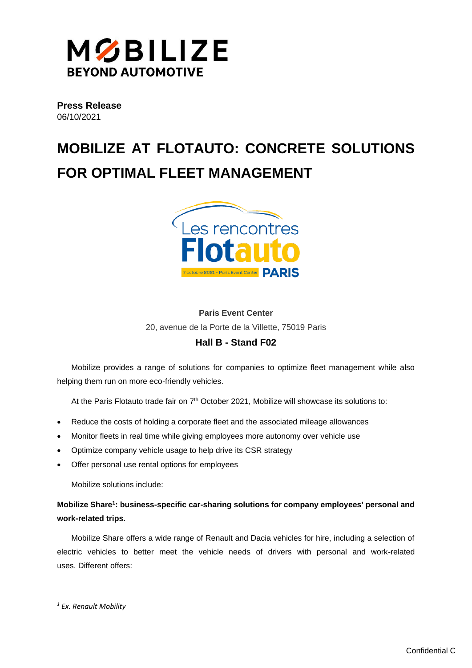

**Press Release** 06/10/2021

# **MOBILIZE AT FLOTAUTO: CONCRETE SOLUTIONS FOR OPTIMAL FLEET MANAGEMENT**



## **Paris Event Center**

20, avenue de la Porte de la Villette, 75019 Paris

## **Hall B - Stand F02**

Mobilize provides a range of solutions for companies to optimize fleet management while also helping them run on more eco-friendly vehicles.

At the Paris Flotauto trade fair on 7<sup>th</sup> October 2021, Mobilize will showcase its solutions to:

- Reduce the costs of holding a corporate fleet and the associated mileage allowances
- Monitor fleets in real time while giving employees more autonomy over vehicle use
- Optimize company vehicle usage to help drive its CSR strategy
- Offer personal use rental options for employees

Mobilize solutions include:

## **Mobilize Share<sup>1</sup> : business-specific car-sharing solutions for company employees' personal and work-related trips.**

Mobilize Share offers a wide range of Renault and Dacia vehicles for hire, including a selection of electric vehicles to better meet the vehicle needs of drivers with personal and work-related uses. Different offers:

*<sup>1</sup> Ex. Renault Mobility*